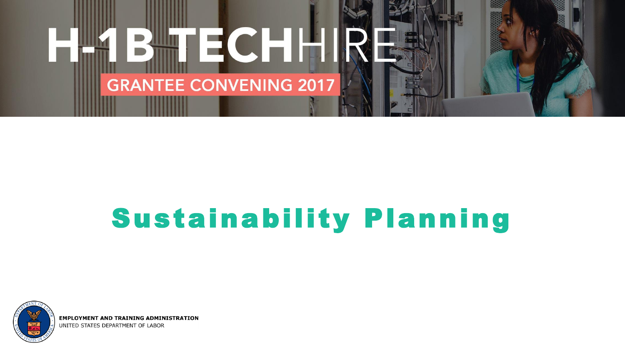

# Sustainability Planning



**EMPLOYMENT AND TRAINING ADMINISTRATION** UNITED STATES DEPARTMENT OF LABOR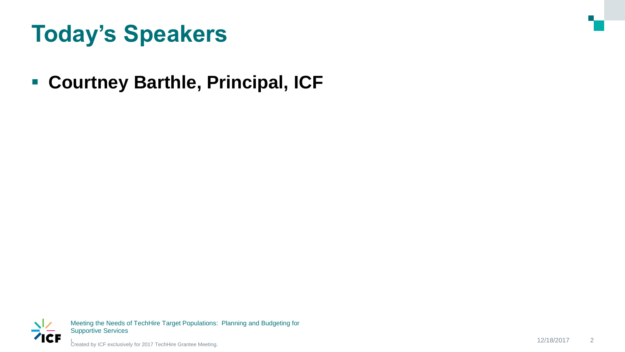### **Today's Speakers**

### **Courtney Barthle, Principal, ICF**



Meeting the Needs of TechHire Target Populations: Planning and Budgeting for Supportive Services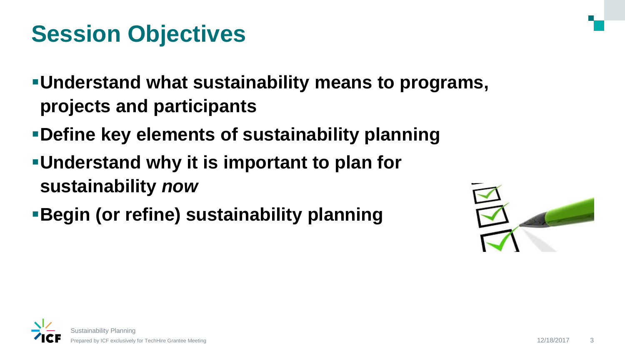### **Session Objectives**

- **Understand what sustainability means to programs, projects and participants**
- **Define key elements of sustainability planning**
- **Understand why it is important to plan for sustainability** *now*
- **Begin (or refine) sustainability planning**



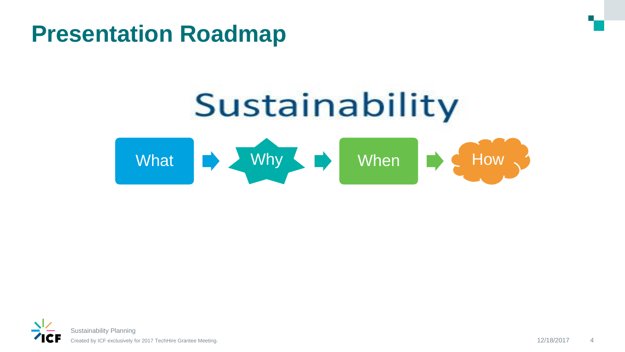### **Presentation Roadmap**



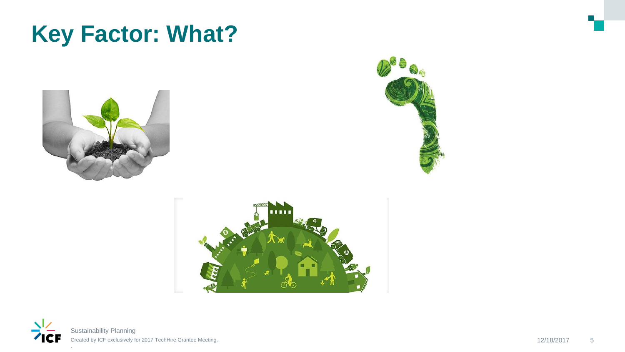### **Key Factor: What?**







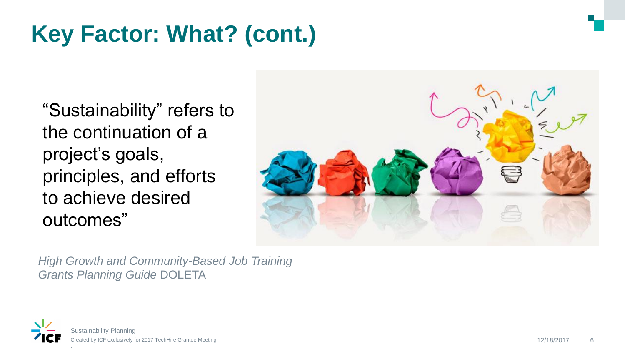# **Key Factor: What? (cont.)**

"Sustainability" refers to the continuation of a project's goals, principles, and efforts to achieve desired outcomes"



*High Growth and Community-Based Job Training Grants Planning Guide* DOLETA

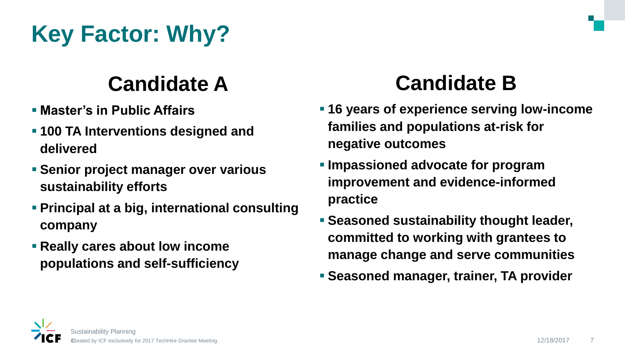# **Key Factor: Why?**

### **Candidate A**

- **Master's in Public Affairs**
- **100 TA Interventions designed and delivered**
- **Senior project manager over various sustainability efforts**
- **Principal at a big, international consulting company**
- **Really cares about low income populations and self-sufficiency**

### **Candidate B**

- **16 years of experience serving low-income families and populations at-risk for negative outcomes**
- **Impassioned advocate for program improvement and evidence-informed practice**
- **Seasoned sustainability thought leader, committed to working with grantees to manage change and serve communities**
- **Seasoned manager, trainer, TA provider**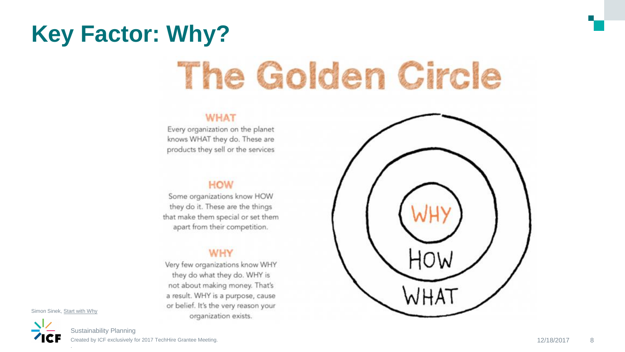## **Key Factor: Why?**

# The Golden Circle

#### **WHAT**

Every organization on the planet knows WHAT they do. These are products they sell or the services

#### **HOW**

Some organizations know HOW they do it. These are the things that make them special or set them apart from their competition.

#### **WHY**

Very few organizations know WHY they do what they do. WHY is not about making money. That's a result. WHY is a purpose, cause or belief. It's the very reason your organization exists.



Simon Sinek, Start with Why

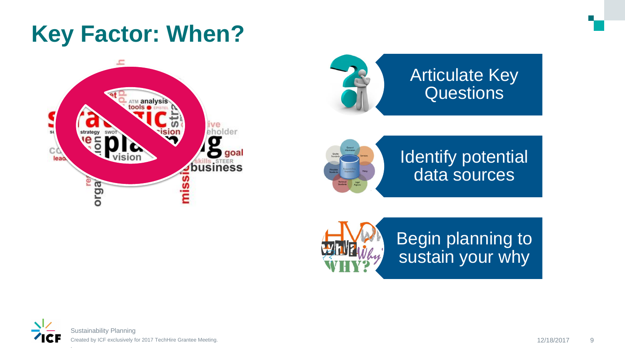### **Key Factor: When?**





### **Articulate Key** Questions



Identify potential data sources



Begin planning to sustain your why

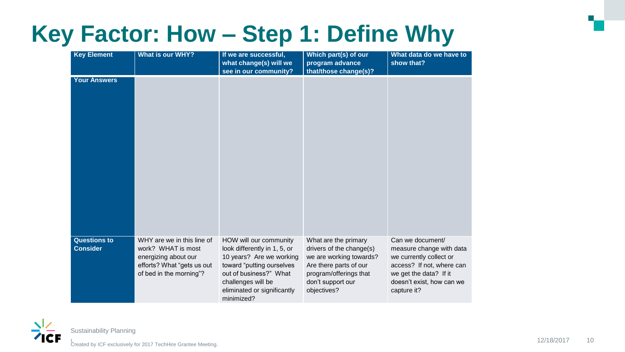### **Key Factor: How – Step 1: Define Why**

| <b>Key Element</b>                     | <b>What is our WHY?</b>                                                                                                           | If we are successful,<br>what change(s) will we<br>see in our community?                                                                                                                                     | Which part(s) of our<br>program advance<br>that/those change(s)?                                                                                                    | What data do we have to<br>show that?                                                                                                                                      |
|----------------------------------------|-----------------------------------------------------------------------------------------------------------------------------------|--------------------------------------------------------------------------------------------------------------------------------------------------------------------------------------------------------------|---------------------------------------------------------------------------------------------------------------------------------------------------------------------|----------------------------------------------------------------------------------------------------------------------------------------------------------------------------|
| <b>Your Answers</b>                    |                                                                                                                                   |                                                                                                                                                                                                              |                                                                                                                                                                     |                                                                                                                                                                            |
| <b>Questions to</b><br><b>Consider</b> | WHY are we in this line of<br>work? WHAT is most<br>energizing about our<br>efforts? What "gets us out<br>of bed in the morning"? | HOW will our community<br>look differently in 1, 5, or<br>10 years? Are we working<br>toward "putting ourselves<br>out of business?" What<br>challenges will be<br>eliminated or significantly<br>minimized? | What are the primary<br>drivers of the change(s)<br>we are working towards?<br>Are there parts of our<br>program/offerings that<br>don't support our<br>objectives? | Can we document/<br>measure change with data<br>we currently collect or<br>access? If not, where can<br>we get the data? If it<br>doesn't exist, how can we<br>capture it? |

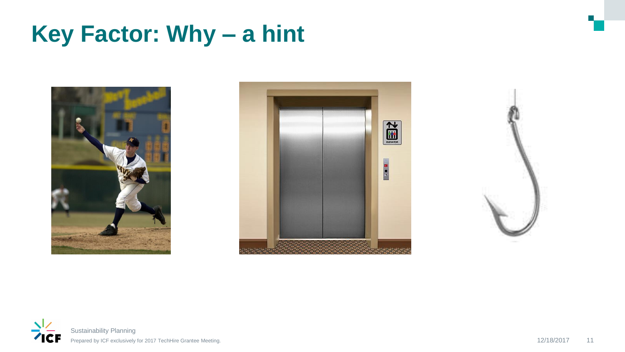### **Key Factor: Why – a hint**







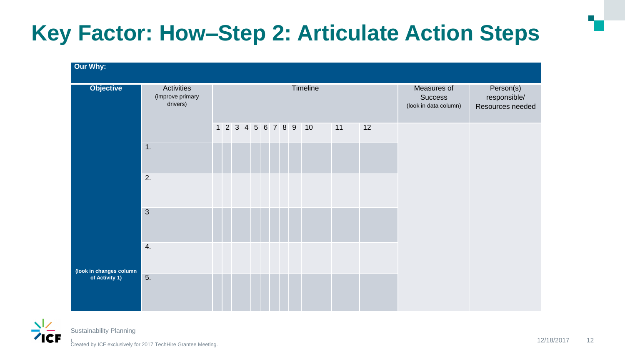### **Key Factor: How–Step 2: Articulate Action Steps**

| Our Why:                                  |                                                   |          |  |  |  |  |  |  |  |                      |                                                        |                                               |  |  |
|-------------------------------------------|---------------------------------------------------|----------|--|--|--|--|--|--|--|----------------------|--------------------------------------------------------|-----------------------------------------------|--|--|
| <b>Objective</b>                          | <b>Activities</b><br>(improve primary<br>drivers) | Timeline |  |  |  |  |  |  |  |                      | Measures of<br><b>Success</b><br>(look in data column) | Person(s)<br>responsible/<br>Resources needed |  |  |
| (look in changes column<br>of Activity 1) |                                                   |          |  |  |  |  |  |  |  | 1 2 3 4 5 6 7 8 9 10 | 11                                                     | 12                                            |  |  |
|                                           | 1.                                                |          |  |  |  |  |  |  |  |                      |                                                        |                                               |  |  |
|                                           | 2.                                                |          |  |  |  |  |  |  |  |                      |                                                        |                                               |  |  |
|                                           | $\mathbf{3}$                                      |          |  |  |  |  |  |  |  |                      |                                                        |                                               |  |  |
|                                           | 4.                                                |          |  |  |  |  |  |  |  |                      |                                                        |                                               |  |  |
|                                           | 5.                                                |          |  |  |  |  |  |  |  |                      |                                                        |                                               |  |  |

Sustainability Planning

Created by ICF exclusively for 2017 TechHire Grantee Meeting.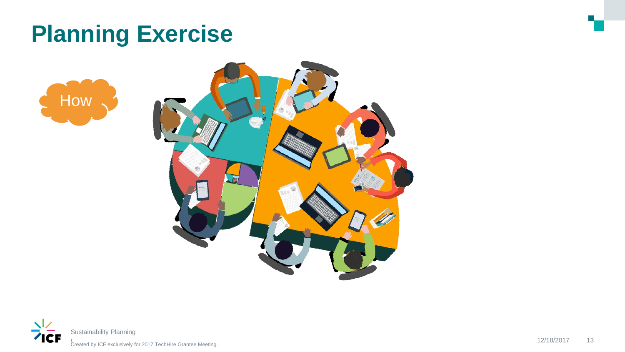### **Planning Exercise**





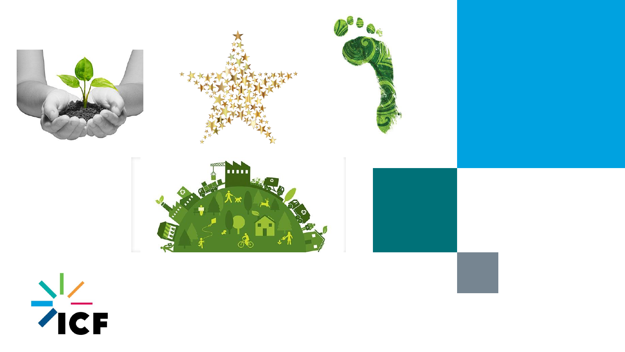